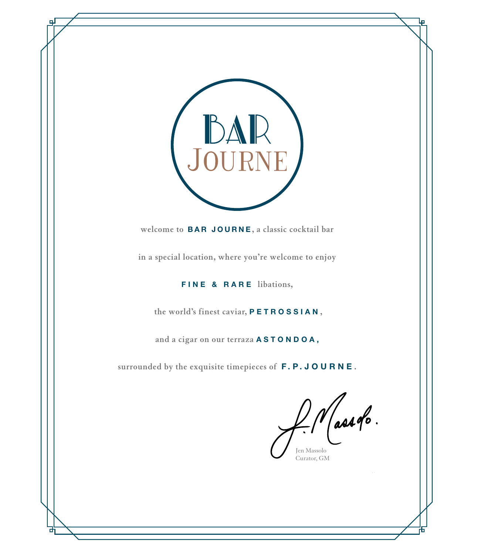

**welcome to** BAR JOURNE **, a classic cocktail bar** 

**in a special location, where you're welcome to enjoy** 

FINE & RARE **libations,** 

 **the world's finest caviar,** PETROSSIAN **,** 

**and a cigar on our terraza** A S T O N D O A ,

**surrounded by the exquisite timepieces of** F.P.JOURNE **.**

Massolo. Jen Massolo

Curator, GM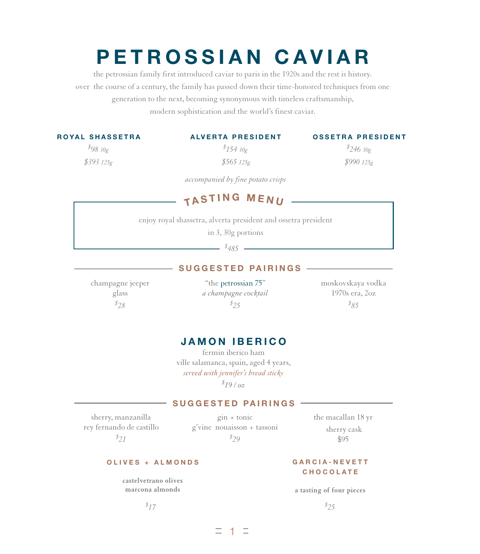# PETROSSIAN CAVIAR

the petrossian family first introduced caviar to paris in the 1920s and the rest is history. over the course of a century, the family has passed down their time-honored techniques from one generation to the next, becoming synonymous with timeless craftsmanship, modern sophistication and the world's finest caviar.

|  |  |  |  |  | <b>ROYAL SHASSETRA</b> |  |
|--|--|--|--|--|------------------------|--|
|--|--|--|--|--|------------------------|--|

# ALVERTA PRESIDENT

*\$ 98 30g \$393 125g*

*\$ 154 30g \$565 125g* OSSETRA PRESIDENT *\$ 246 30g*

*\$990 125g*

*accompanied by fine potato crisps*

# TASTING MENU

enjoy royal shassetra, alverta president and ossetra president

in 3, 30g portions

*\$ 485*

#### SUGGESTED PAIRINGS

champagne jeeper glass *\$ 28*

"the petrossian 75" *a champagne cocktail \$ 25*

moskovskaya vodka 1970s era, 2oz *\$ 85*

#### JAMON IBERICO

fermin iberico ham ville salamanca, spain, aged 4 years, *served with jennifer's bread sticks \$ 19 / oz*

#### SUGGESTED PAIRINGS

sherry, manzanilla rey fernando de castillo *\$ 21*

gin + tonic g'vine nouaisson + tassoni *\$ 29*

the macallan 18 yr sherry cask

\$95

#### OLIVES + ALMONDS

**castelvetrano olives marcona almonds**

*\$*

#### GARCIA-NEVETT **CHOCOLATE**

**a tasting of four pieces** *25*

*17 \$*

二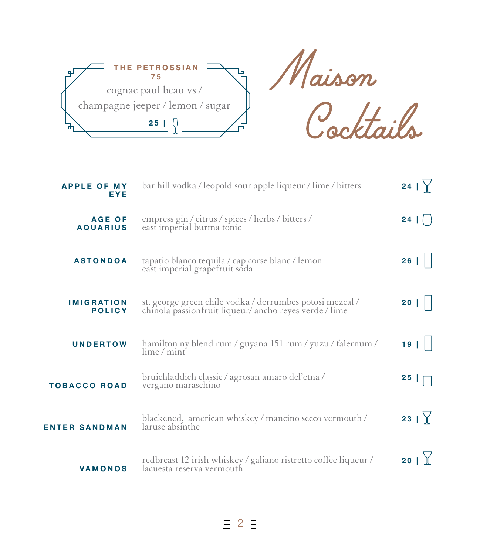

| bar hill vodka / leopold sour apple liqueur / lime / bitters                                                       | 24              |
|--------------------------------------------------------------------------------------------------------------------|-----------------|
| empress gin / citrus / spices / herbs / bitters /<br>east imperial burma tonic                                     | 24 <sup>1</sup> |
| tapatio blanco tequila / cap corse blanc / lemon<br>east imperial grapefruit soda                                  | 26              |
| st. george green chile vodka / derrumbes potosi mezcal /<br>chinola passionfruit liqueur/ ancho reyes verde / lime | 20              |
| hamilton ny blend rum / guyana 151 rum / yuzu / falernum /<br>$\lim_{\epsilon}$ mint                               | 19              |
| bruichladdich classic / agrosan amaro del'etna /<br>vergano maraschino                                             | 25              |
| blackened, american whiskey / mancino secco vermouth /<br>laruse absinthe                                          | 23   $\gamma$   |
| redbreast 12 irish whiskey / galiano ristretto coffee liqueur /<br>lacuesta reserva vermouth                       | 20              |
|                                                                                                                    |                 |

 $\equiv$  2  $\equiv$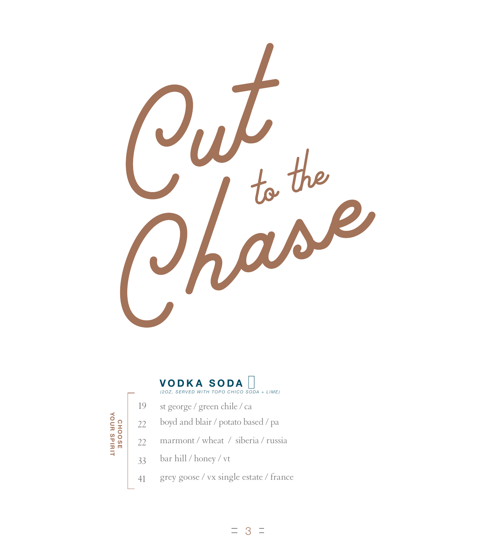



- st george / green chile / ca 19
	- boyd and blair / potato based / pa
	- marmont / wheat / siberia / russia
	- bar hill / honey / vt
- grey goose / vx single estate / france 41

CHOOSE<br>YOUR SPIRIT YOUR SPIRIT 22 CHOOSE 22 33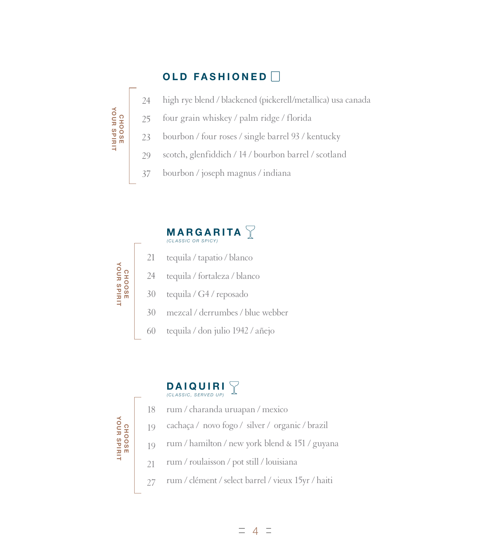# OLD FASHIONED



- four grain whiskey / palm ridge / florida 25
- bourbon / four roses / single barrel 93 / kentucky 23
- scotch, glenfiddich / 14 / bourbon barrel / scotland 29
- bourbon / joseph magnus / indiana 37



# DAIQUIRI (CLASSIC, SERVED UP)



- cachaça / novo fogo / silver / organic / brazil 19
- rum / hamilton / new york blend & 151 / guyana 19
- rum / roulaisson / pot still / louisiana 21
- rum / clément / select barrel / vieux 15yr / haiti 27



CHOOSE YOUR SPIRIT

CHOOSE<br>YOUR SPIRIT

 $\equiv$ 4 $\equiv$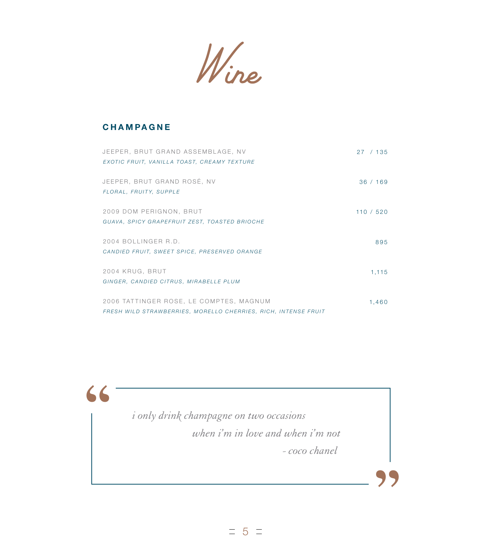Wine

#### CHAMPAGNE

**"**

| JEEPER, BRUT GRAND ASSEMBLAGE, NV                              | 27/135    |
|----------------------------------------------------------------|-----------|
| EXOTIC FRUIT, VANILLA TOAST, CREAMY TEXTURE                    |           |
| JEEPER, BRUT GRAND ROSÉ, NV                                    | 36/169    |
| FLORAL, FRUITY, SUPPLE                                         |           |
| 2009 DOM PERIGNON, BRUT                                        | 110 / 520 |
| GUAVA, SPICY GRAPEFRUIT ZEST, TOASTED BRIOCHE                  |           |
| 2004 BOLLINGER R.D.                                            | 895       |
| CANDIED FRUIT, SWEET SPICE, PRESERVED ORANGE                   |           |
| 2004 KRUG, BRUT                                                | 1,115     |
| GINGER, CANDIED CITRUS, MIRABELLE PLUM                         |           |
| 2006 TATTINGER ROSE, LE COMPTES, MAGNUM                        | 1,460     |
| FRESH WILD STRAWBERRIES, MORELLO CHERRIES, RICH, INTENSE FRUIT |           |

*i only drink champagne on two occasions when i'm in love and when i'm not - coco chanel* 

 $= 5 =$ 

**"**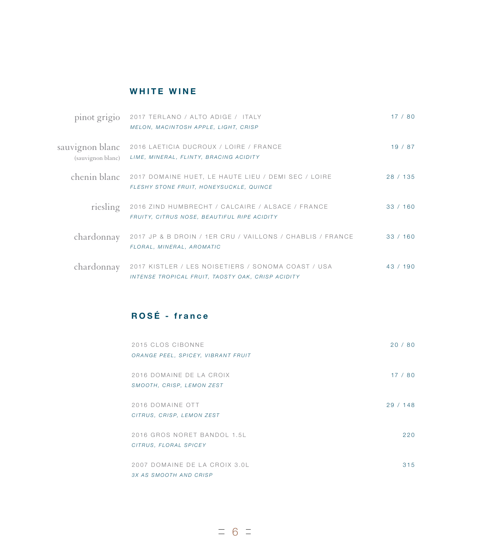## WHITE WINE

| pinot grigio                         | 2017 TERLANO / ALTO ADIGE / ITALY<br>MELON, MACINTOSH APPLE, LIGHT, CRISP                               | 17/80    |
|--------------------------------------|---------------------------------------------------------------------------------------------------------|----------|
| sauvignon blanc<br>(sauvignon blanc) | 2016 LAETICIA DUCROUX / LOIRE / FRANCE<br>LIME, MINERAL, FLINTY, BRACING ACIDITY                        | 19/87    |
| chenin blanc                         | 2017 DOMAINE HUET, LE HAUTE LIEU / DEMI SEC / LOIRE<br>FLESHY STONE FRUIT, HONEYSUCKLE, QUINCE          | 28 / 135 |
| riesling                             | 2016 ZIND HUMBRECHT / CALCAIRE / ALSACE / FRANCE<br>FRUITY, CITRUS NOSE, BEAUTIFUL RIPE ACIDITY         | 33/160   |
| chardonnay                           | 2017 JP & B DROIN / 1ER CRU / VAILLONS / CHABLIS / FRANCE<br>FLORAL, MINERAL, AROMATIC                  | 33/160   |
| chardonnay                           | 2017 KISTLER / LES NOISETIERS / SONOMA COAST / USA<br>INTENSE TROPICAL FRUIT, TAOSTY OAK, CRISP ACIDITY | 43/190   |

# ROSÉ - france

| 2015 CLOS CIBONNE<br>ORANGE PEEL, SPICEY, VIBRANT FRUIT | 20/80  |
|---------------------------------------------------------|--------|
| 2016 DOMAINE DE LA CROIX<br>SMOOTH, CRISP, LEMON ZEST   | 17/80  |
| 2016 DOMAINE OTT<br>CITRUS, CRISP, LEMON ZEST           | 29/148 |
| 2016 GROS NORET BANDOL 1.5L<br>CITRUS, FLORAL SPICEY    | 220    |
| 2007 DOMAINE DE LA CROIX 3.0L<br>3X AS SMOOTH AND CRISP | 315    |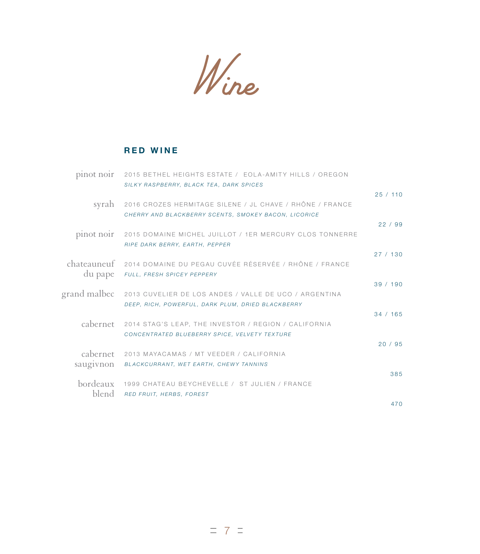Wine

# RED WINE

| pinot noir   | 2015 BETHEL HEIGHTS ESTATE / EOLA-AMITY HILLS / OREGON<br>SILKY RASPBERRY, BLACK TEA, DARK SPICES |          |
|--------------|---------------------------------------------------------------------------------------------------|----------|
|              |                                                                                                   | 25/110   |
| syrah        | 2016 CROZES HERMITAGE SILENE / JL CHAVE / RHÔNE / FRANCE                                          |          |
|              | CHERRY AND BLACKBERRY SCENTS, SMOKEY BACON, LICORICE                                              | 22/99    |
| pinot noir   | 2015 DOMAINE MICHEL JUILLOT / 1ER MERCURY CLOS TONNERRE                                           |          |
|              | RIPE DARK BERRY, EARTH, PEPPER                                                                    | 27/130   |
| chateauneuf  | 2014 DOMAINE DU PEGAU CUVÉE RÉSERVÉE / RHÔNE / FRANCE                                             |          |
| du pape      | FULL, FRESH SPICEY PEPPERY                                                                        | 39/190   |
| grand malbec | 2013 CUVELIER DE LOS ANDES / VALLE DE UCO / ARGENTINA                                             |          |
|              | DEEP, RICH, POWERFUL, DARK PLUM, DRIED BLACKBERRY                                                 | 34 / 165 |
| cabernet     | 2014 STAG'S LEAP, THE INVESTOR / REGION / CALIFORNIA                                              |          |
|              | CONCENTRATED BLUEBERRY SPICE, VELVETY TEXTURE                                                     |          |
| cabernet     | 2013 MAYACAMAS / MT VEEDER / CALIFORNIA                                                           | 20/95    |
| saugivnon    | BLACKCURRANT, WET EARTH, CHEWY TANNINS                                                            |          |
| bordeaux     | 1999 CHATEAU BEYCHEVELLE / ST JULIEN / FRANCE                                                     | 385      |
| blend        | RED FRUIT, HERBS, FOREST                                                                          |          |
|              |                                                                                                   | 470      |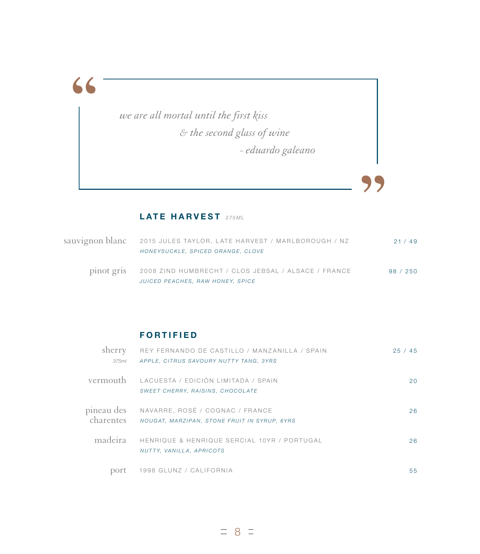**"**

*we are all mortal until the first kiss & the second glass of wine - eduardo galeano*

## LATE HARVEST 375ML

| sauvignon blanc 2015 JULES TAYLOR, LATE HARVEST / MARLBOROUGH / NZ                                 | 21/49  |
|----------------------------------------------------------------------------------------------------|--------|
| HONEYSUCKLE, SPICED ORANGE, CLOVE                                                                  |        |
| pinot gris 2008 ZIND HUMBRECHT / CLOS JEBSAL / ALSACE / FRANCE<br>JUICED PEACHES, RAW HONEY, SPICE | 98/250 |

**"**

#### FORTIFIED

| sherry<br>375ml         | REY FERNANDO DE CASTILLO / MANZANILLA / SPAIN<br>APPLE, CITRUS SAVOURY NUTTY TANG, 3YRS | 25/<br>45 |
|-------------------------|-----------------------------------------------------------------------------------------|-----------|
| vermouth                | LACUESTA / EDICIÓN LIMITADA / SPAIN<br>SWEET CHERRY, RAISINS, CHOCOLATE                 | 20        |
| pineau des<br>charentes | NAVARRE, ROSÉ / COGNAC / FRANCE<br>NOUGAT, MARZIPAN, STONE FRUIT IN SYRUP, 6YRS         | 26        |
| madeira                 | HENRIQUE & HENRIQUE SERCIAL 10YR / PORTUGAL<br>NUTTY, VANILLA, APRICOTS                 | 26        |
| port                    | 1998 GLUNZ / CALIFORNIA                                                                 | 55        |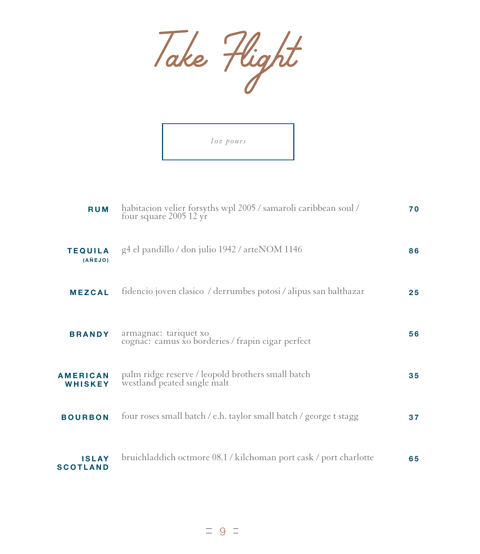



| <b>RUM</b>                      | habitacion velier forsyths wpl 2005 / samaroli caribbean soul /<br>four square $2005$ 12 yr | 70 |
|---------------------------------|---------------------------------------------------------------------------------------------|----|
| <b>TEQUILA</b><br>(AÑEJO)       | g4 el pandillo / don julio 1942 / arteNOM 1146                                              | 86 |
| <b>MEZCAL</b>                   | fidencio joven clasico / derrumbes potosi / alipus san balthazar                            | 25 |
| <b>BRANDY</b>                   | armagnac: tariquet xo<br>cognac: camus xo borderies / frapin cigar perfect                  | 56 |
| <b>AMERICAN</b><br>WHISKEY      | palm ridge reserve / leopold brothers small batch<br>westland peated single malt            | 35 |
| <b>BOURBON</b>                  | four roses small batch / e.h. taylor small batch / george t stagg                           | 37 |
| <b>ISLAY</b><br><b>SCOTLAND</b> | bruichladdich octmore 08.1 / kilchoman port cask / port charlotte                           | 65 |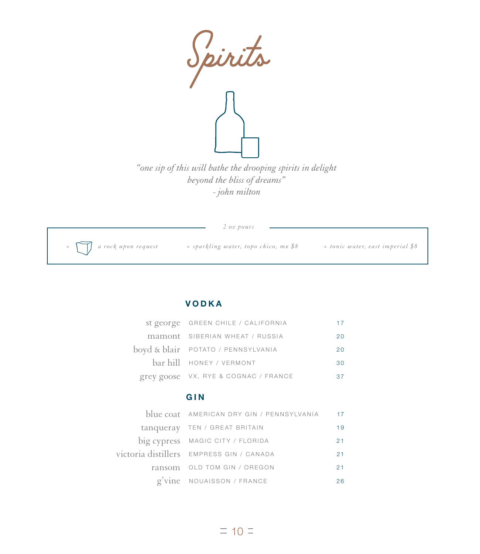

*- john milton*

|                             | $2 \text{ oz } p \text{ o} u \text{ rs}$ |                                  |
|-----------------------------|------------------------------------------|----------------------------------|
| $+\Box$ a rock upon request | + sparkling water, topo chico, mx \$8    | + tonic water, east imperial \$8 |

#### VODKA

| st george GREEN CHILE / CALIFORNIA   | 17 |
|--------------------------------------|----|
| mamont SIBERIAN WHEAT / RUSSIA       | 20 |
| boyd & blair POTATO / PENNSYLVANIA   | 20 |
| bar hill HONEY / VERMONT             | 30 |
| grey goose VX, RYE & COGNAC / FRANCE |    |

#### GIN

| blue coat AMERICAN DRY GIN / PENNSYLVANIA 17 |    |
|----------------------------------------------|----|
| tanqueray TEN / GREAT BRITAIN                | 19 |
| big cypress MAGIC CITY / FLORIDA             | 21 |
| victoria distillers EMPRESS GIN / CANADA     | 21 |
| ransom OLD TOM GIN / OREGON                  | 21 |
| g'vine NOUAISSON / FRANCE                    | 26 |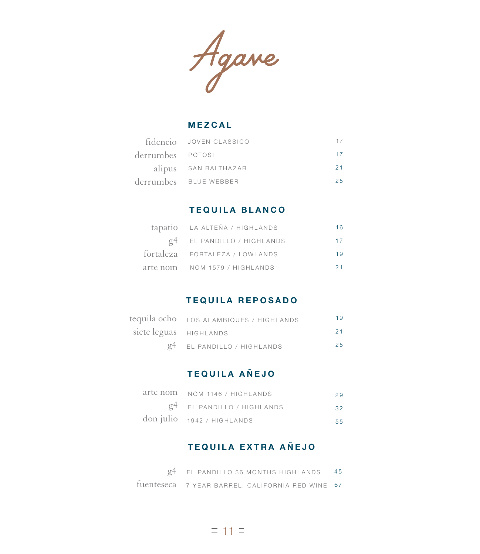Agane

#### MEZCAL

|                  | fidencio JOVEN CLASSICO |     |
|------------------|-------------------------|-----|
| derrumbes POTOSI |                         |     |
|                  | alipus SAN BALTHAZAR    | 21  |
|                  | derrumbes BLUE WEBBER   | 25. |

#### TEQUILA BLANCO

| tapatio LA ALTEÑA / HIGHLANDS          |     |
|----------------------------------------|-----|
| g <sup>4</sup> EL PANDILLO / HIGHLANDS | 17  |
| fortaleza FORTALEZA / LOWLANDS         | 1 Q |
| arte nom NOM 1579 / HIGHLANDS          |     |

#### TEQUILA REPOSADO

|                        | tequila ocho LOS ALAMBIQUES / HIGHLANDS | 19 |
|------------------------|-----------------------------------------|----|
| siete leguas HIGHLANDS |                                         | 21 |
|                        | $g4$ EL PANDILLO / HIGHLANDS            | 25 |

# TEQUILA A Ñ EJO

| arte nom NOM 1146 / HIGHLANDS                         | 29  |
|-------------------------------------------------------|-----|
| $g4$ EL PANDILLO / HIGHLANDS                          | 32  |
| $\frac{1}{2}$ don julio $\frac{1942}{1942}$ HIGHLANDS | 55. |

## TEQUILA EXTRA AÑEJO

| $g4$ EL PANDILLO 36 MONTHS HIGHLANDS 45          |  |
|--------------------------------------------------|--|
| fuenteseca 7 YEAR BARREL: CALIFORNIA RED WINE 67 |  |

 $= 11$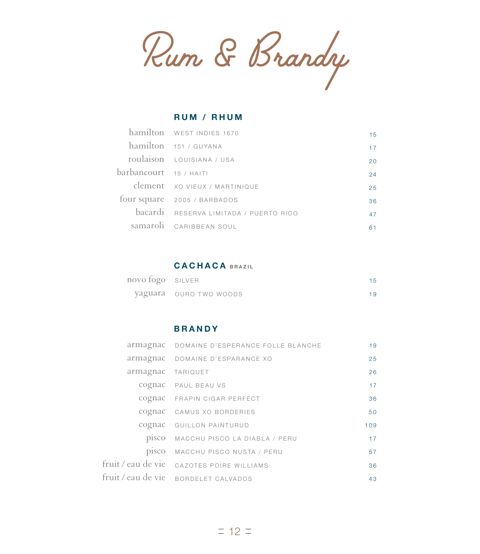Rum & Brandy

#### RUM / RHUM

|                        | hamilton WEST INDIES 1670              | 15 |
|------------------------|----------------------------------------|----|
|                        | hamilton 151 / GUYANA                  | 17 |
|                        | roulaison LOUISIANA / USA              | 20 |
| barbancourt 15 / HAITI |                                        | 24 |
|                        | clement xo VIEUX / MARTINIQUE          | 25 |
|                        | four square 2005 / BARBADOS            | 36 |
|                        | bacardi RESERVA LIMITADA / PUERTO RICO | 47 |
|                        | samaroli CARIBBEAN SOUL                | 61 |

#### CACHACA BRAZIL

| novo fogo SILVER |                        | 15 |
|------------------|------------------------|----|
|                  | yaguara ouro two woods | 19 |

#### BRANDY

|                   | armagnac DOMAINE D'ESPERANCE FOLLE BLANCHE | 19  |
|-------------------|--------------------------------------------|-----|
|                   | armagnac DOMAINE D'ESPARANCE XO            | 25  |
| armagnac TARIQUET |                                            | 26  |
|                   | cognac PAUL BEAU VS                        | 17  |
|                   | COGNAC FRAPIN CIGAR PERFECT                | 36  |
|                   | cognac CAMUS XO BORDERIES                  | 50  |
|                   | cognac GUILLON PAINTURUD                   | 109 |
|                   | PISCO MACCHU PISCO LA DIABLA / PERU        | 17  |
| pisco             | MACCHU PISCO NUSTA / PERU                  | 57  |
|                   | fruit / eau de vie cazoTES POIRE WILLIAMS  | 36  |
|                   | fruit / eau de vie BORDELET CALVADOS       | 43  |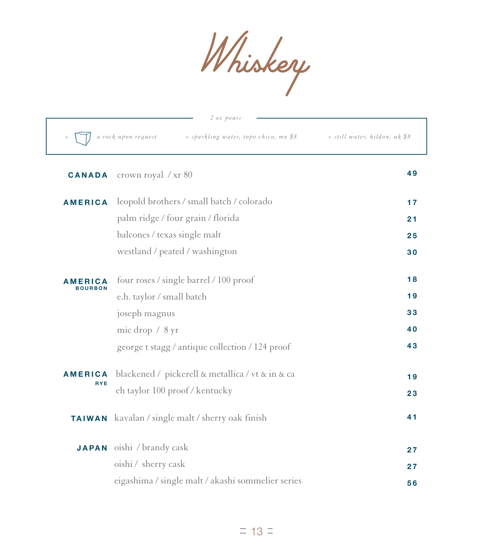Whiskery

|                | $2$ oz pours                                                 |                               |
|----------------|--------------------------------------------------------------|-------------------------------|
| $^{+}$         | a rock upon request<br>+ sparkling water, topo chico, mx \$8 | + still water, hildon, uk \$8 |
| <b>CANADA</b>  | crown royal $/\mathrm{xr}\,80$                               | 49                            |
| <b>AMERICA</b> | leopold brothers / small batch / colorado                    | 17                            |
|                | palm ridge / four grain / florida                            | 21                            |
|                | balcones / texas single malt                                 | 25                            |
|                | westland / peated / washington                               | 30                            |
| <b>AMERICA</b> | four roses / single barrel / 100 proof                       | 18                            |
| <b>BOURBON</b> | e.h. taylor / small batch                                    | 19                            |
|                | joseph magnus                                                | 33                            |
|                | mic drop $/ 8$ yr                                            | 40                            |
|                | george t stagg / antique collection / 124 proof              | 43                            |
| <b>AMERICA</b> | blackened / pickerell & metallica / vt & in & ca             | 19                            |
| <b>RYE</b>     | eh taylor 100 proof / kentucky                               | 23                            |
| <b>TAIWAN</b>  | kavalan / single malt / sherry oak finish                    | 41                            |
|                | <b>JAPAN</b> oishi / brandy cask                             | 27                            |
|                | oishi / sherry cask                                          | 27                            |
|                | eigashima / single malt / akashi sommelier series            | 56                            |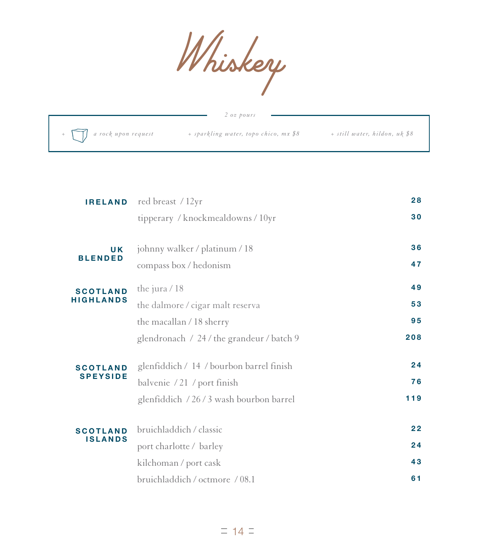

|                                                                     | $2 \text{ oz } p \text{ o} u \text{ rs}$ |                               |
|---------------------------------------------------------------------|------------------------------------------|-------------------------------|
| $\begin{array}{ccc} . & + \ \hline \end{array}$ a rock upon request | + sparkling water, topo chico, mx \$8    | + still water, hildon, uk \$8 |

| <b>IRELAND</b>   | red breast / 12yr                         | 28  |
|------------------|-------------------------------------------|-----|
|                  | tipperary / knockmealdowns / 10yr         | 30  |
| <b>UK</b>        | johnny walker / platinum / 18             | 36  |
| <b>BLENDED</b>   | compass box / hedonism                    | 47  |
| <b>SCOTLAND</b>  | the jura $/ 18$                           | 49  |
| <b>HIGHLANDS</b> | the dalmore / cigar malt reserva          | 53  |
|                  | the macallan / 18 sherry                  | 95  |
|                  | glendronach / 24 / the grandeur / batch 9 | 208 |
| <b>SCOTLAND</b>  | glenfiddich / 14 / bourbon barrel finish  | 24  |
| <b>SPEYSIDE</b>  | balvenie / 21 / port finish               | 76  |
|                  | glenfiddich / 26/3 wash bourbon barrel    | 119 |
| <b>SCOTLAND</b>  | bruichladdich / classic                   | 22  |
| <b>ISLANDS</b>   | port charlotte / barley                   | 24  |
|                  | kilchoman / port cask                     | 43  |
|                  | bruichladdich / octmore / 08.1            | 61  |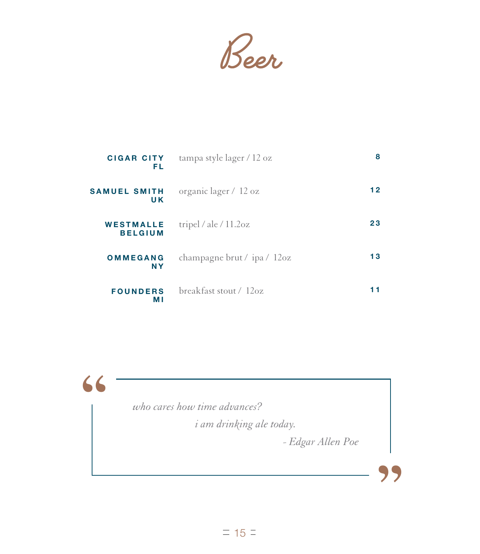Beer

| <b>CIGAR CITY</b><br>FL            | tampa style lager / 12 oz   | 8  |
|------------------------------------|-----------------------------|----|
| <b>SAMUEL SMITH</b><br>U K         | organic lager / 12 oz       | 12 |
| <b>WESTMALLE</b><br><b>BELGIUM</b> | tripel / ale / $11.2oz$     | 23 |
| OMMEGANG<br><b>NY</b>              | champagne brut / ipa / 12oz | 13 |
| <b>FOUNDERS</b><br>МI              | $breakfast$ stout / $12oz$  | 11 |

**"**

*who cares how time advances?*

*i am drinking ale today.*

 *- Edgar Allen Poe* 

**"**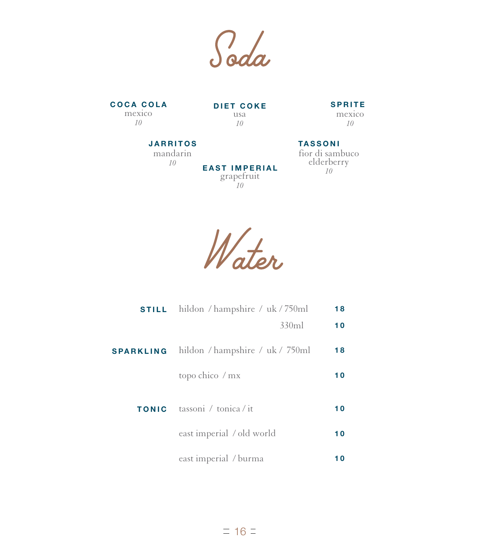Soda

COCA COLA DIET COKE SPRITE mexico *10*

usa *10*

**EAST IMPERIAL** grapefruit *10*

mexico *10*

#### JARRITOS

mandarin *10*

#### fior di sambuco elderberry *10* TASSONI

Water

| <b>STILL</b>     | hildon / hampshire / uk / 750ml | 18 |
|------------------|---------------------------------|----|
|                  | 330ml                           | 10 |
| <b>SPARKLING</b> | hildon / hampshire / uk / 750ml | 18 |
|                  | topo chico / mx                 | 10 |
| <b>TONIC</b>     | tassoni / tonica / it           | 10 |
|                  | east imperial / old world       | 10 |
|                  | east imperial / burma           | 10 |

 $= 16 =$